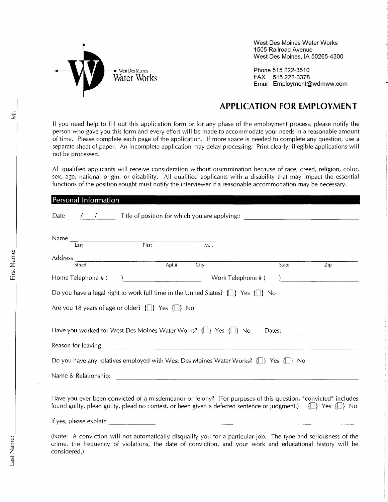

**Personal Information** 

West Des Moines Water Works **1505 Railroad Avenue** West Des Moines, IA 50265-4300

Phone 515-222-3510 FAX 515-222-3378 Email Employment@wdmww.com

If you need help to fill out this application form or for any phase of the employment process, please notify the person who gave you this form and every effort will be made to accommodate your needs in a reasonable amount of time. Please complete each page of the application. If more space is needed to complete any question, use a separate sheet of paper. An incomplete application may delay processing. Print clearly; illegible applications will not be processed.

All qualified applicants will receive consideration without discrimination because of race, creed, religion, color, sex, age, national origin, or disability. All qualified applicants with a disability that may impact the essential functions of the position sought must notify the interviewer if a reasonable accommodation may be necessary.

| Date $\frac{1}{\sqrt{2}}$ Title of position for which you are applying:: $\frac{1}{\sqrt{2}}$                                                                                                                                               |                                                                                                                     |      |                    |                                                            |
|---------------------------------------------------------------------------------------------------------------------------------------------------------------------------------------------------------------------------------------------|---------------------------------------------------------------------------------------------------------------------|------|--------------------|------------------------------------------------------------|
| $\begin{array}{c c}\n\textbf{Name} & \textbf{First} \\ \hline\n\textbf{I} & \textbf{Test} \\ \hline\n\end{array}$                                                                                                                           |                                                                                                                     | M.I. |                    |                                                            |
| Address<br>Street                                                                                                                                                                                                                           | $\overline{\phantom{a}}$ Apt.#                                                                                      | City | State              |                                                            |
| Home Telephone # (                                                                                                                                                                                                                          |                                                                                                                     |      | Work Telephone # ( | Zip<br>) and the contract of the contract of $\mathcal{L}$ |
| Do you have a legal right to work full time in the United States? $\{\Box\}$ Yes $\{\Box\}$ No                                                                                                                                              |                                                                                                                     |      |                    |                                                            |
| Are you 18 years of age or older? $\{\Box\}$ Yes $\{\Box\}$ No                                                                                                                                                                              |                                                                                                                     |      |                    |                                                            |
| Have you worked for West Des Moines Water Works? $\{\Box\}$ Yes $\{\Box\}$ No                                                                                                                                                               |                                                                                                                     |      |                    | Dates:                                                     |
|                                                                                                                                                                                                                                             |                                                                                                                     |      |                    |                                                            |
| Do you have any relatives employed with West Des Moines Water Works? $\{\_\}$ Yes $\{\_\}$ No                                                                                                                                               |                                                                                                                     |      |                    |                                                            |
| Name & Relationship:                                                                                                                                                                                                                        |                                                                                                                     |      |                    |                                                            |
|                                                                                                                                                                                                                                             |                                                                                                                     |      |                    |                                                            |
| Have you ever been convicted of a misdemeanor or felony? (For purposes of this question, "convicted" includes<br>found guilty, plead guilty, plead no contest, or been given a deferred sentence or judgment.) $\{\Box\}$ Yes $\{\Box\}$ No |                                                                                                                     |      |                    |                                                            |
| If yes, please explain                                                                                                                                                                                                                      | .<br>De la provincia de la provincia de la provincia de la provincia de la provincia de la provincia de la provinci |      |                    |                                                            |

(Note: A conviction will not automatically disqualify you for a particular job. The type and seriousness of the crime, the frequency of violations, the date of conviction, and your work and educational history will be considered.)

 $\dot{\bar{z}}$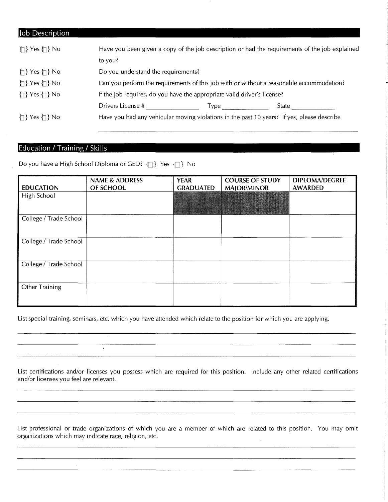| Job Description                      |                                                                                          |                                     |                                                                                                |  |  |
|--------------------------------------|------------------------------------------------------------------------------------------|-------------------------------------|------------------------------------------------------------------------------------------------|--|--|
| $\{\uparrow\}$ Yes $\{\uparrow\}$ No |                                                                                          |                                     | Have you been given a copy of the job description or had the requirements of the job explained |  |  |
|                                      | to you?                                                                                  |                                     |                                                                                                |  |  |
| $\{\uparrow\}$ Yes $\{\uparrow\}$ No |                                                                                          | Do you understand the requirements? |                                                                                                |  |  |
| $\{\uparrow\}$ Yes $\{\uparrow\}$ No | Can you perform the requirements of this job with or without a reasonable accommodation? |                                     |                                                                                                |  |  |
| $\{\uparrow\}$ Yes $\{\uparrow\}$ No | If the job requires, do you have the appropriate valid driver's license?                 |                                     |                                                                                                |  |  |
|                                      | Drivers License #                                                                        |                                     | State                                                                                          |  |  |
| $\{\uparrow\}$ Yes $\{\uparrow\}$ No |                                                                                          |                                     | Have you had any vehicular moving violations in the past 10 years? If yes, please describe     |  |  |

## **Education / Training / Skills**

Do you have a High School Diploma or GED?  $\{\Box\}$  Yes  $\{\Box\}$  No

 $\bar{\chi}$ 

 $\sim 10$ 

| <b>EDUCATION</b>       | <b>NAME &amp; ADDRESS</b><br>OF SCHOOL | <b>YEAR</b><br><b>GRADUATED</b> | <b>COURSE OF STUDY</b><br><b>MAJOR/MINOR</b> | <b>DIPLOMA/DEGREE</b><br><b>AWARDED</b> |
|------------------------|----------------------------------------|---------------------------------|----------------------------------------------|-----------------------------------------|
| High School            |                                        |                                 | An Britain Co                                |                                         |
| College / Trade School |                                        |                                 |                                              |                                         |
| College / Trade School |                                        |                                 |                                              |                                         |
| College / Trade School |                                        |                                 |                                              |                                         |
| Other Training         |                                        |                                 |                                              |                                         |

List special training, seminars, etc. which you have attended which relate to the position for which you are applying.

List certifications and/or licenses you possess which are required for this position. Include any other related certifications and/or licenses you feel are relevant.

List professional or trade organizations of which you are a member of which are related to this position. You may omit organizations which may indicate race, religion, etc.

<u> 1980 - Januar Amerikaanse kommunister (</u>